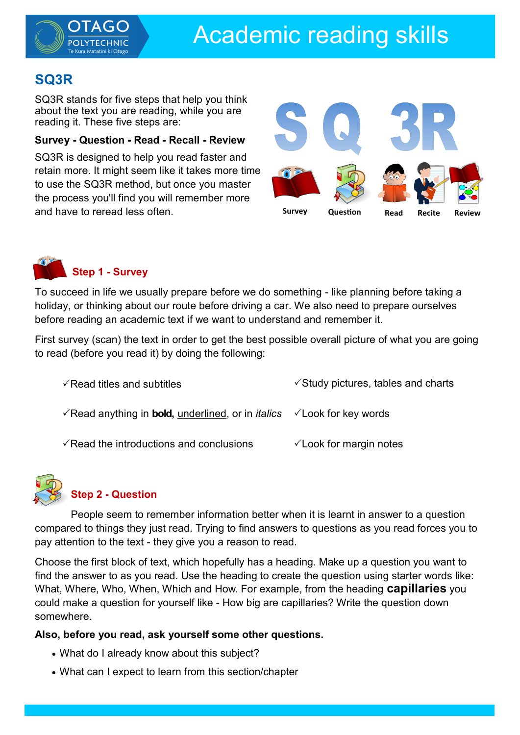

## **SQ3R**

SQ3R stands for five steps that help you think about the text you are reading, while you are reading it. These five steps are:

#### **Survey - Question - Read - Recall - Review**

SQ3R is designed to help you read faster and retain more. It might seem like it takes more time to use the SQ3R method, but once you master the process you'll find you will remember more and have to reread less often.





To succeed in life we usually prepare before we do something - like planning before taking a holiday, or thinking about our route before driving a car. We also need to prepare ourselves before reading an academic text if we want to understand and remember it.

First survey (scan) the text in order to get the best possible overall picture of what you are going to read (before you read it) by doing the following:

| $\sqrt{\text{Read}}$ titles and subtitles                                                                        | $\checkmark$ Study pictures, tables and charts |
|------------------------------------------------------------------------------------------------------------------|------------------------------------------------|
| $\sqrt{R}$ Read anything in <b>bold</b> , <u>underlined</u> , or in <i>italics</i> $\sqrt{L}$ Cook for key words |                                                |
| $\sqrt{\pi}$ Read the introductions and conclusions                                                              | $\checkmark$ Look for margin notes             |



### **Step 2 - Question**

People seem to remember information better when it is learnt in answer to a question compared to things they just read. Trying to find answers to questions as you read forces you to pay attention to the text - they give you a reason to read.

Choose the first block of text, which hopefully has a heading. Make up a question you want to find the answer to as you read. Use the heading to create the question using starter words like: What, Where, Who, When, Which and How. For example, from the heading **capillaries** you could make a question for yourself like - How big are capillaries? Write the question down somewhere.

### **Also, before you read, ask yourself some other questions.**

- What do I already know about this subject?
- What can I expect to learn from this section/chapter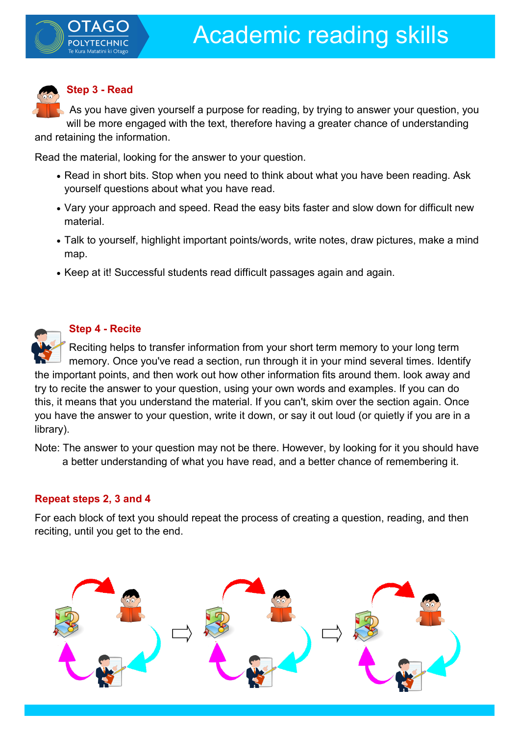

# **Step 3 - Read**

As you have given yourself a purpose for reading, by trying to answer your question, you will be more engaged with the text, therefore having a greater chance of understanding and retaining the information.

Read the material, looking for the answer to your question.

- Read in short bits. Stop when you need to think about what you have been reading. Ask yourself questions about what you have read.
- Vary your approach and speed. Read the easy bits faster and slow down for difficult new material.
- Talk to yourself, highlight important points/words, write notes, draw pictures, make a mind map.
- Keep at it! Successful students read difficult passages again and again.



### **Step 4 - Recite**

Reciting helps to transfer information from your short term memory to your long term memory. Once you've read a section, run through it in your mind several times. Identify the important points, and then work out how other information fits around them. look away and try to recite the answer to your question, using your own words and examples. If you can do this, it means that you understand the material. If you can't, skim over the section again. Once you have the answer to your question, write it down, or say it out loud (or quietly if you are in a library).

Note: The answer to your question may not be there. However, by looking for it you should have a better understanding of what you have read, and a better chance of remembering it.

### **Repeat steps 2, 3 and 4**

For each block of text you should repeat the process of creating a question, reading, and then reciting, until you get to the end.